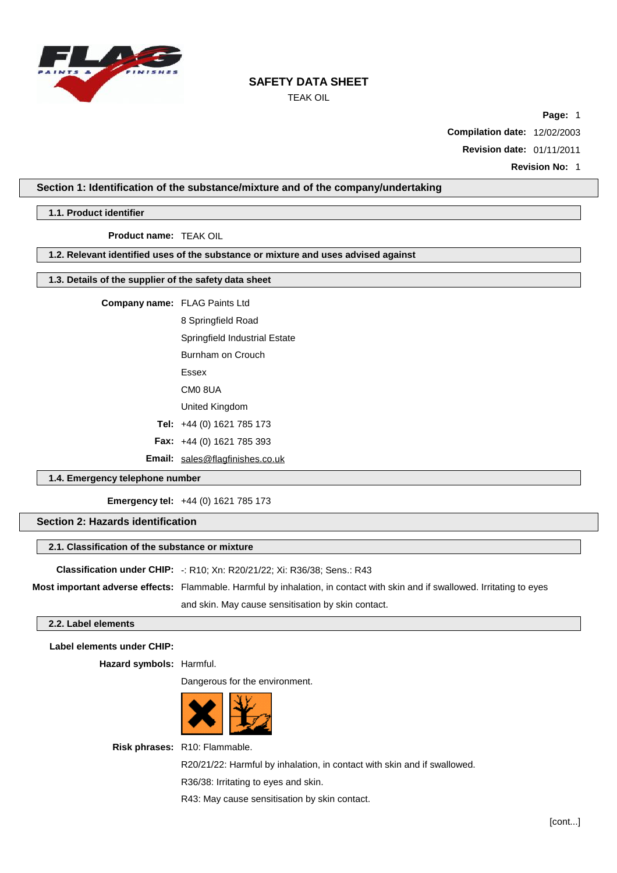

TEAK OIL

**Page:** 1

**Compilation date:** 12/02/2003

**Revision date:** 01/11/2011

## **Section 1: Identification of the substance/mixture and of the company/undertaking**

### **1.1. Product identifier**

**Product name:** TEAK OIL

## **1.2. Relevant identified uses of the substance or mixture and uses advised against**

## **1.3. Details of the supplier of the safety data sheet**

**Company name:** FLAG Paints Ltd

8 Springfield Road

Springfield Industrial Estate

Burnham on Crouch

Essex

CM0 8UA

United Kingdom

**Tel:** +44 (0) 1621 785 173

**Fax:** +44 (0) 1621 785 393

**Email:** [sales@flagfinishes.co.uk](mailto:sales@flagfinishes.co.uk)

## **1.4. Emergency telephone number**

**Emergency tel:** +44 (0) 1621 785 173

## **Section 2: Hazards identification**

### **2.1. Classification of the substance or mixture**

**Classification under CHIP:** -: R10; Xn: R20/21/22; Xi: R36/38; Sens.: R43

**Most important adverse effects:** Flammable. Harmful by inhalation, in contact with skin and if swallowed. Irritating to eyes and skin. May cause sensitisation by skin contact.

### **2.2. Label elements**

**Label elements under CHIP:**

**Hazard symbols:** Harmful.

Dangerous for the environment.



**Risk phrases:** R10: Flammable.

R20/21/22: Harmful by inhalation, in contact with skin and if swallowed.

R36/38: Irritating to eyes and skin.

R43: May cause sensitisation by skin contact.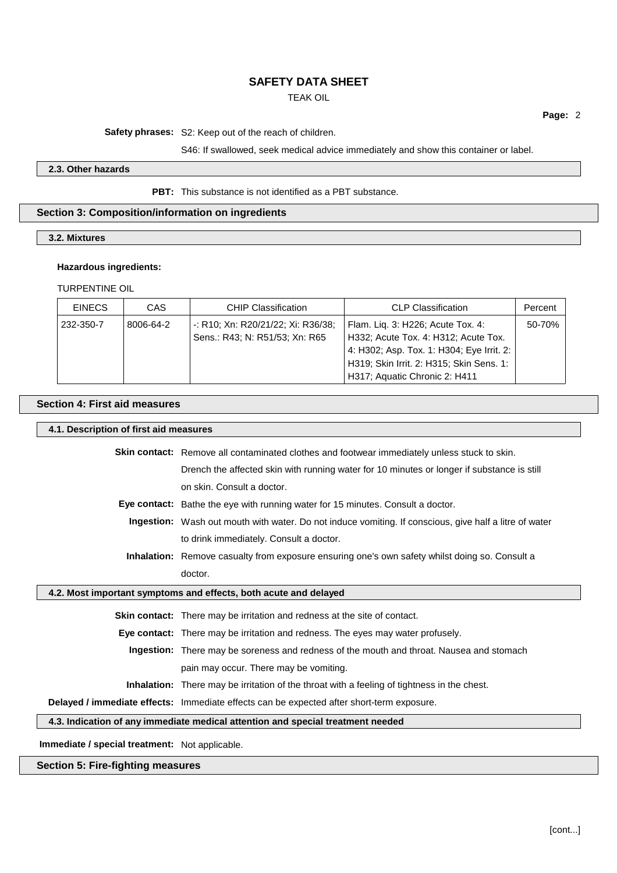TEAK OIL

**Page:** 2

**Safety phrases:** S2: Keep out of the reach of children.

S46: If swallowed, seek medical advice immediately and show this container or label.

### **2.3. Other hazards**

**PBT:** This substance is not identified as a PBT substance.

## **Section 3: Composition/information on ingredients**

**3.2. Mixtures**

### **Hazardous ingredients:**

TURPENTINE OIL

| <b>EINECS</b> | CAS       | <b>CHIP Classification</b>         | <b>CLP Classification</b>                 | Percent |
|---------------|-----------|------------------------------------|-------------------------------------------|---------|
| 232-350-7     | 8006-64-2 | -: R10; Xn: R20/21/22; Xi: R36/38; | Flam. Liq. 3: H226; Acute Tox. 4:         | 50-70%  |
|               |           | Sens.: R43; N: R51/53; Xn: R65     | H332; Acute Tox. 4: H312; Acute Tox.      |         |
|               |           |                                    | 4: H302; Asp. Tox. 1: H304; Eye Irrit. 2: |         |
|               |           |                                    | H319; Skin Irrit. 2: H315; Skin Sens. 1:  |         |
|               |           |                                    | H317; Aquatic Chronic 2: H411             |         |

### **Section 4: First aid measures**

### **4.1. Description of first aid measures**

**Skin contact:** Remove all contaminated clothes and footwear immediately unless stuck to skin. Drench the affected skin with running water for 10 minutes or longer if substance is still on skin. Consult a doctor. **Eye contact:** Bathe the eye with running water for 15 minutes. Consult a doctor. **Ingestion:** Wash out mouth with water. Do not induce vomiting. If conscious, give half a litre of water to drink immediately. Consult a doctor. **Inhalation:** Remove casualty from exposure ensuring one's own safety whilst doing so. Consult a doctor. **4.2. Most important symptoms and effects, both acute and delayed Skin contact:** There may be irritation and redness at the site of contact. **Eye contact:** There may be irritation and redness. The eyes may water profusely. **Ingestion:** There may be soreness and redness of the mouth and throat. Nausea and stomach pain may occur. There may be vomiting. **Inhalation:** There may be irritation of the throat with a feeling of tightness in the chest. **Delayed / immediate effects:** Immediate effects can be expected after short-term exposure. **4.3. Indication of any immediate medical attention and special treatment needed**

**Immediate / special treatment:** Not applicable.

## **Section 5: Fire-fighting measures**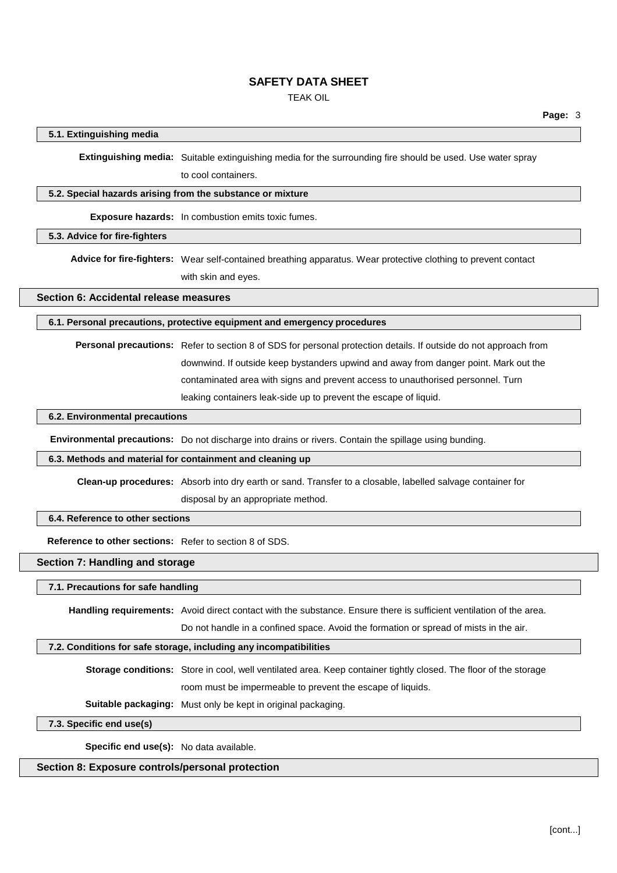TEAK OIL

## **5.1. Extinguishing media**

**Extinguishing media:** Suitable extinguishing media for the surrounding fire should be used. Use water spray to cool containers.

### **5.2. Special hazards arising from the substance or mixture**

**Exposure hazards:** In combustion emits toxic fumes.

## **5.3. Advice for fire-fighters**

**Advice for fire-fighters:** Wear self-contained breathing apparatus. Wear protective clothing to prevent contact with skin and eyes.

**Section 6: Accidental release measures**

#### **6.1. Personal precautions, protective equipment and emergency procedures**

**Personal precautions:** Refer to section 8 of SDS for personal protection details. If outside do not approach from downwind. If outside keep bystanders upwind and away from danger point. Mark out the contaminated area with signs and prevent access to unauthorised personnel. Turn leaking containers leak-side up to prevent the escape of liquid.

## **6.2. Environmental precautions**

**Environmental precautions:** Do not discharge into drains or rivers. Contain the spillage using bunding.

## **6.3. Methods and material for containment and cleaning up**

**Clean-up procedures:** Absorb into dry earth or sand. Transfer to a closable, labelled salvage container for disposal by an appropriate method.

## **6.4. Reference to other sections**

**Reference to other sections:** Refer to section 8 of SDS.

## **Section 7: Handling and storage**

### **7.1. Precautions for safe handling**

**Handling requirements:** Avoid direct contact with the substance. Ensure there is sufficient ventilation of the area.

Do not handle in a confined space. Avoid the formation or spread of mists in the air.

## **7.2. Conditions for safe storage, including any incompatibilities**

**Storage conditions:** Store in cool, well ventilated area. Keep container tightly closed. The floor of the storage room must be impermeable to prevent the escape of liquids.

**Suitable packaging:** Must only be kept in original packaging.

**7.3. Specific end use(s)**

**Specific end use(s):** No data available.

## **Section 8: Exposure controls/personal protection**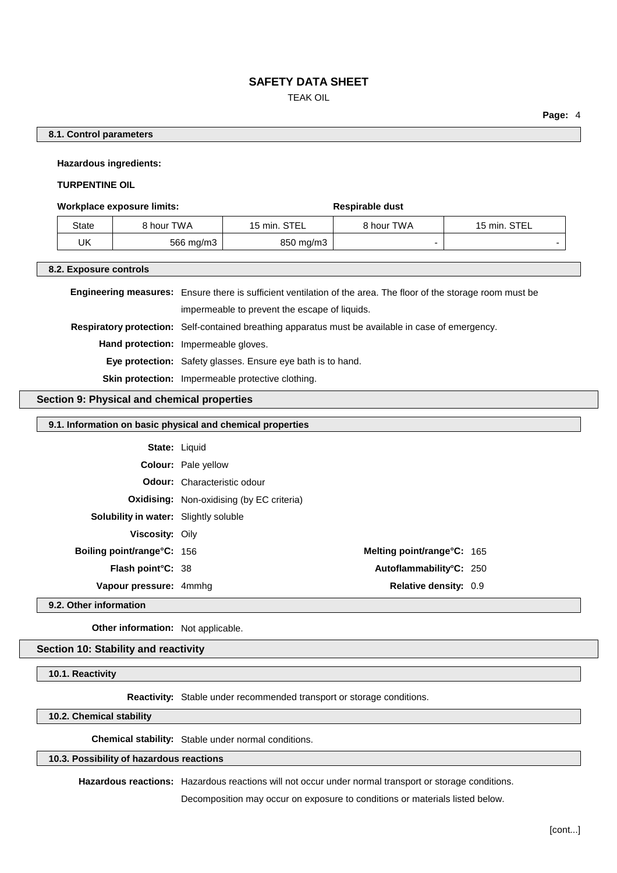TEAK OIL

## **8.1. Control parameters**

**Hazardous ingredients:**

### **TURPENTINE OIL**

#### **Workplace** exposure limits: **Respirable** dust

| State | 8 hour TWA | 15 min. STEL | 8 hour TWA | 15 min. STEL |
|-------|------------|--------------|------------|--------------|
| UK    | 566 mg/m3  | 850 mg/m3    |            |              |

#### **8.2. Exposure controls**

| <b>Engineering measures:</b> Ensure there is sufficient ventilation of the area. The floor of the storage room must be |
|------------------------------------------------------------------------------------------------------------------------|
| impermeable to prevent the escape of liquids.                                                                          |
| <b>Respiratory protection:</b> Self-contained breathing apparatus must be available in case of emergency.              |
| Hand protection: Impermeable gloves.                                                                                   |
| Eye protection: Safety glasses. Ensure eye bath is to hand.                                                            |
| <b>Skin protection:</b> Impermeable protective clothing.                                                               |

## **Section 9: Physical and chemical properties**

## **9.1. Information on basic physical and chemical properties**

|                                              | <b>State: Liquid</b>                             |  |
|----------------------------------------------|--------------------------------------------------|--|
|                                              | <b>Colour:</b> Pale yellow                       |  |
|                                              | <b>Odour:</b> Characteristic odour               |  |
|                                              | <b>Oxidising:</b> Non-oxidising (by EC criteria) |  |
| <b>Solubility in water:</b> Slightly soluble |                                                  |  |
| <b>Viscosity: Oily</b>                       |                                                  |  |
| <b>Boiling point/range °C: 156</b>           | Melting point/range°C: 165                       |  |
| <b>Flash point °C: 38</b>                    | Autoflammability°C: 250                          |  |
| Vapour pressure: 4mmhg                       | <b>Relative density: 0.9</b>                     |  |

### **9.2. Other information**

**Other information:** Not applicable.

### **Section 10: Stability and reactivity**

**10.1. Reactivity**

**Reactivity:** Stable under recommended transport or storage conditions.

## **10.2. Chemical stability**

**Chemical stability:** Stable under normal conditions.

#### **10.3. Possibility of hazardous reactions**

**Hazardous reactions:** Hazardous reactions will not occur under normal transport or storage conditions.

Decomposition may occur on exposure to conditions or materials listed below.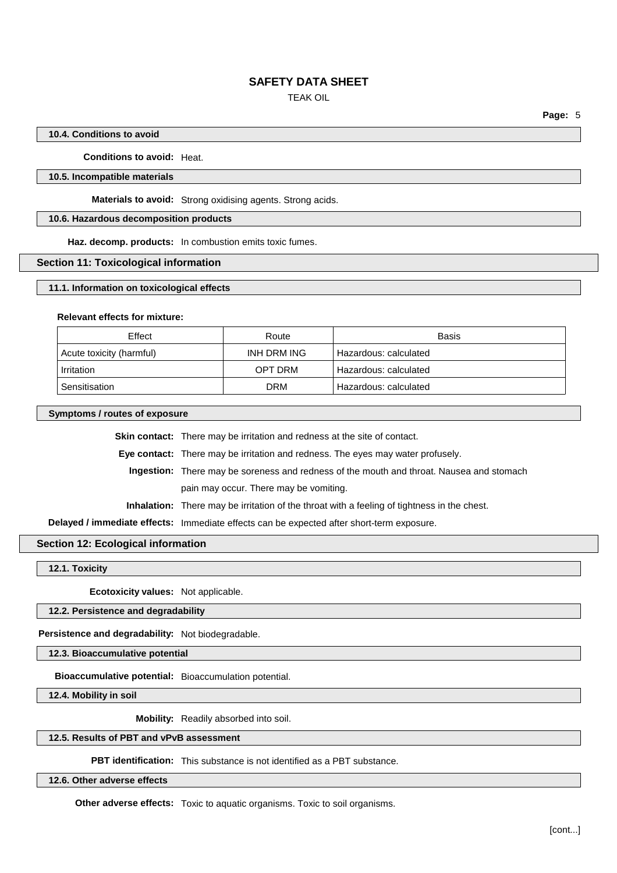TEAK OIL

## **10.4. Conditions to avoid**

**Conditions to avoid:** Heat.

### **10.5. Incompatible materials**

**Materials to avoid:** Strong oxidising agents. Strong acids.

## **10.6. Hazardous decomposition products**

**Haz. decomp. products:** In combustion emits toxic fumes.

### **Section 11: Toxicological information**

#### **11.1. Information on toxicological effects**

### **Relevant effects for mixture:**

| Effect                   | Route       | <b>Basis</b>          |
|--------------------------|-------------|-----------------------|
| Acute toxicity (harmful) | INH DRM ING | Hazardous: calculated |
| Irritation               | OPT DRM     | Hazardous: calculated |
| Sensitisation            | <b>DRM</b>  | Hazardous: calculated |

**Symptoms / routes of exposure**

**Skin contact:** There may be irritation and redness at the site of contact.

**Eye contact:** There may be irritation and redness. The eyes may water profusely.

**Ingestion:** There may be soreness and redness of the mouth and throat. Nausea and stomach

pain may occur. There may be vomiting.

**Inhalation:** There may be irritation of the throat with a feeling of tightness in the chest.

**Delayed / immediate effects:** Immediate effects can be expected after short-term exposure.

## **Section 12: Ecological information**

**12.1. Toxicity**

**Ecotoxicity values:** Not applicable.

## **12.2. Persistence and degradability**

**Persistence and degradability:** Not biodegradable.

**12.3. Bioaccumulative potential**

**Bioaccumulative potential:** Bioaccumulation potential.

**12.4. Mobility in soil**

**Mobility:** Readily absorbed into soil.

### **12.5. Results of PBT and vPvB assessment**

**PBT identification:** This substance is not identified as a PBT substance.

**12.6. Other adverse effects**

**Other adverse effects:** Toxic to aquatic organisms. Toxic to soil organisms.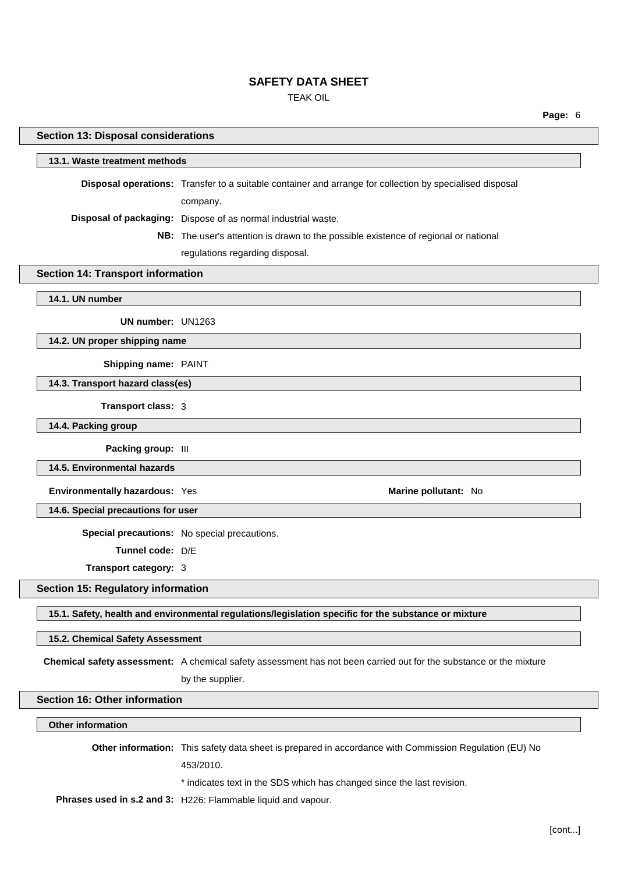TEAK OIL

| аае |  |
|-----|--|
|     |  |

| 13.1. Waste treatment methods                                                                                      |
|--------------------------------------------------------------------------------------------------------------------|
| Disposal operations: Transfer to a suitable container and arrange for collection by specialised disposal           |
| company.                                                                                                           |
| Disposal of packaging: Dispose of as normal industrial waste.                                                      |
| NB: The user's attention is drawn to the possible existence of regional or national                                |
| regulations regarding disposal.                                                                                    |
| <b>Section 14: Transport information</b>                                                                           |
|                                                                                                                    |
| UN number: UN1263                                                                                                  |
| 14.2. UN proper shipping name                                                                                      |
| Shipping name: PAINT                                                                                               |
| 14.3. Transport hazard class(es)                                                                                   |
| Transport class: 3                                                                                                 |
|                                                                                                                    |
| Packing group: III                                                                                                 |
|                                                                                                                    |
| Environmentally hazardous: Yes<br>Marine pollutant: No                                                             |
|                                                                                                                    |
| 14.6. Special precautions for user                                                                                 |
| Special precautions: No special precautions.                                                                       |
| Tunnel code: D/E                                                                                                   |
| Transport category: 3                                                                                              |
| <b>Section 15: Regulatory information</b>                                                                          |
| 15.1. Safety, health and environmental regulations/legislation specific for the substance or mixture               |
| 15.2. Chemical Safety Assessment                                                                                   |
| Chemical safety assessment: A chemical safety assessment has not been carried out for the substance or the mixture |
| by the supplier.                                                                                                   |
| <b>Section 16: Other information</b>                                                                               |
|                                                                                                                    |
| Other information: This safety data sheet is prepared in accordance with Commission Regulation (EU) No             |
| 453/2010.                                                                                                          |
| * indicates text in the SDS which has changed since the last revision.                                             |
|                                                                                                                    |